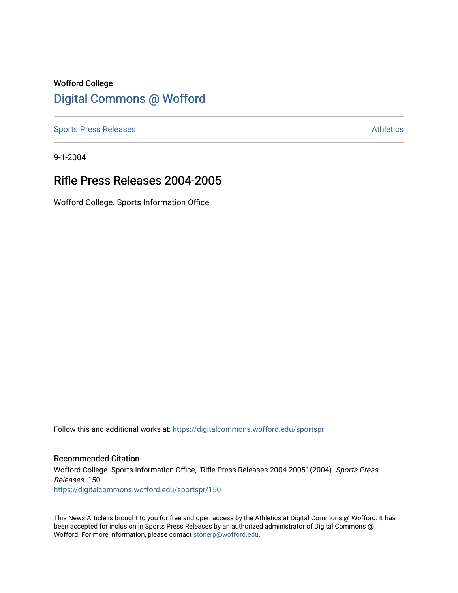# Wofford College [Digital Commons @ Wofford](https://digitalcommons.wofford.edu/)

[Sports Press Releases](https://digitalcommons.wofford.edu/sportspr) **Athletics** [Athletics](https://digitalcommons.wofford.edu/athletics) **Athletics** 

9-1-2004

## Rifle Press Releases 2004-2005

Wofford College. Sports Information Office

Follow this and additional works at: [https://digitalcommons.wofford.edu/sportspr](https://digitalcommons.wofford.edu/sportspr?utm_source=digitalcommons.wofford.edu%2Fsportspr%2F150&utm_medium=PDF&utm_campaign=PDFCoverPages)

## Recommended Citation

Wofford College. Sports Information Office, "Rifle Press Releases 2004-2005" (2004). Sports Press Releases. 150. [https://digitalcommons.wofford.edu/sportspr/150](https://digitalcommons.wofford.edu/sportspr/150?utm_source=digitalcommons.wofford.edu%2Fsportspr%2F150&utm_medium=PDF&utm_campaign=PDFCoverPages) 

This News Article is brought to you for free and open access by the Athletics at Digital Commons @ Wofford. It has been accepted for inclusion in Sports Press Releases by an authorized administrator of Digital Commons @ Wofford. For more information, please contact [stonerp@wofford.edu.](mailto:stonerp@wofford.edu)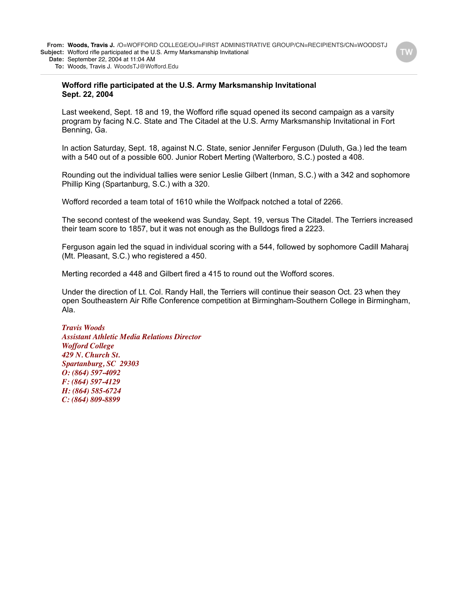**To:** Woods, Travis J. WoodsTJ@Wofford.Edu

#### **Wofford rifle participated at the U.S. Army Marksmanship Invitational Sept. 22, 2004**

Last weekend, Sept. 18 and 19, the Wofford rifle squad opened its second campaign as a varsity program by facing N.C. State and The Citadel at the U.S. Army Marksmanship Invitational in Fort Benning, Ga.

In action Saturday, Sept. 18, against N.C. State, senior Jennifer Ferguson (Duluth, Ga.) led the team with a 540 out of a possible 600. Junior Robert Merting (Walterboro, S.C.) posted a 408.

Rounding out the individual tallies were senior Leslie Gilbert (Inman, S.C.) with a 342 and sophomore Phillip King (Spartanburg, S.C.) with a 320.

Wofford recorded a team total of 1610 while the Wolfpack notched a total of 2266.

The second contest of the weekend was Sunday, Sept. 19, versus The Citadel. The Terriers increased their team score to 1857, but it was not enough as the Bulldogs fired a 2223.

Ferguson again led the squad in individual scoring with a 544, followed by sophomore Cadill Maharaj (Mt. Pleasant, S.C.) who registered a 450.

Merting recorded a 448 and Gilbert fired a 415 to round out the Wofford scores.

Under the direction of Lt. Col. Randy Hall, the Terriers will continue their season Oct. 23 when they open Southeastern Air Rifle Conference competition at Birmingham-Southern College in Birmingham, Ala.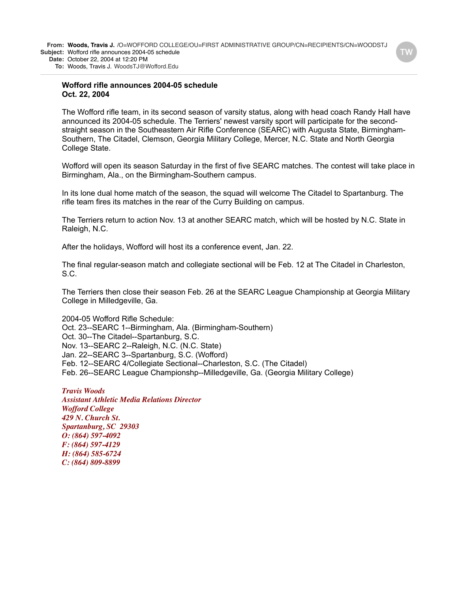**Wofford rifle announces 2004-05 schedule**

## **Oct. 22, 2004**

The Wofford rifle team, in its second season of varsity status, along with head coach Randy Hall have announced its 2004-05 schedule. The Terriers' newest varsity sport will participate for the secondstraight season in the Southeastern Air Rifle Conference (SEARC) with Augusta State, Birmingham-Southern, The Citadel, Clemson, Georgia Military College, Mercer, N.C. State and North Georgia College State.

Wofford will open its season Saturday in the first of five SEARC matches. The contest will take place in Birmingham, Ala., on the Birmingham-Southern campus.

In its lone dual home match of the season, the squad will welcome The Citadel to Spartanburg. The rifle team fires its matches in the rear of the Curry Building on campus.

The Terriers return to action Nov. 13 at another SEARC match, which will be hosted by N.C. State in Raleigh, N.C.

After the holidays, Wofford will host its a conference event, Jan. 22.

The final regular-season match and collegiate sectional will be Feb. 12 at The Citadel in Charleston, S.C.

The Terriers then close their season Feb. 26 at the SEARC League Championship at Georgia Military College in Milledgeville, Ga.

2004-05 Wofford Rifle Schedule: Oct. 23--SEARC 1--Birmingham, Ala. (Birmingham-Southern) Oct. 30--The Citadel--Spartanburg, S.C. Nov. 13--SEARC 2--Raleigh, N.C. (N.C. State) Jan. 22--SEARC 3--Spartanburg, S.C. (Wofford) Feb. 12--SEARC 4/Collegiate Sectional--Charleston, S.C. (The Citadel) Feb. 26--SEARC League Championshp--Milledgeville, Ga. (Georgia Military College)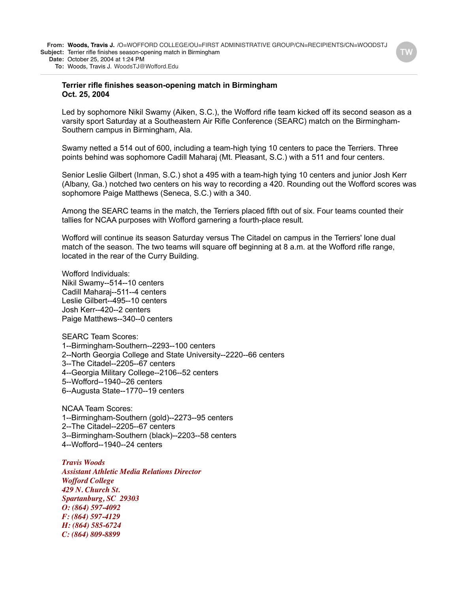**Date:** October 25, 2004 at 1:24 PM

**To:** Woods, Travis J. WoodsTJ@Wofford.Edu

#### **Terrier rifle finishes season-opening match in Birmingham Oct. 25, 2004**

Led by sophomore Nikil Swamy (Aiken, S.C.), the Wofford rifle team kicked off its second season as a varsity sport Saturday at a Southeastern Air Rifle Conference (SEARC) match on the Birmingham-Southern campus in Birmingham, Ala.

Swamy netted a 514 out of 600, including a team-high tying 10 centers to pace the Terriers. Three points behind was sophomore Cadill Maharaj (Mt. Pleasant, S.C.) with a 511 and four centers.

Senior Leslie Gilbert (Inman, S.C.) shot a 495 with a team-high tying 10 centers and junior Josh Kerr (Albany, Ga.) notched two centers on his way to recording a 420. Rounding out the Wofford scores was sophomore Paige Matthews (Seneca, S.C.) with a 340.

Among the SEARC teams in the match, the Terriers placed fifth out of six. Four teams counted their tallies for NCAA purposes with Wofford garnering a fourth-place result.

Wofford will continue its season Saturday versus The Citadel on campus in the Terriers' lone dual match of the season. The two teams will square off beginning at 8 a.m. at the Wofford rifle range, located in the rear of the Curry Building.

Wofford Individuals: Nikil Swamy--514--10 centers Cadill Maharaj--511--4 centers Leslie Gilbert--495--10 centers Josh Kerr--420--2 centers Paige Matthews--340--0 centers

SEARC Team Scores: 1--Birmingham-Southern--2293--100 centers 2--North Georgia College and State University--2220--66 centers 3--The Citadel--2205--67 centers 4--Georgia Military College--2106--52 centers 5--Wofford--1940--26 centers 6--Augusta State--1770--19 centers

NCAA Team Scores: 1--Birmingham-Southern (gold)--2273--95 centers 2--The Citadel--2205--67 centers 3--Birmingham-Southern (black)--2203--58 centers 4--Wofford--1940--24 centers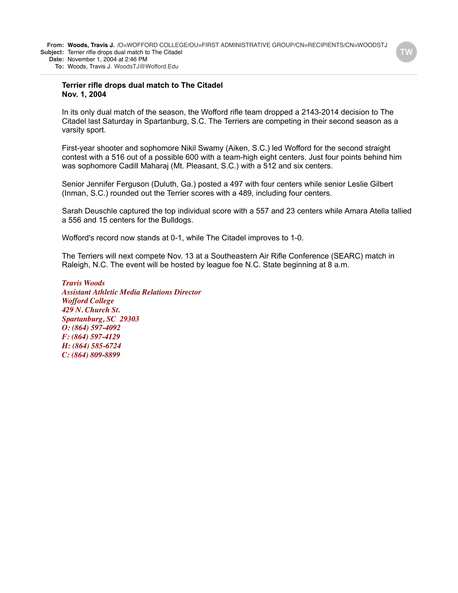#### **Terrier rifle drops dual match to The Citadel Nov. 1, 2004**

In its only dual match of the season, the Wofford rifle team dropped a 2143-2014 decision to The Citadel last Saturday in Spartanburg, S.C. The Terriers are competing in their second season as a varsity sport.

First-year shooter and sophomore Nikil Swamy (Aiken, S.C.) led Wofford for the second straight contest with a 516 out of a possible 600 with a team-high eight centers. Just four points behind him was sophomore Cadill Maharaj (Mt. Pleasant, S.C.) with a 512 and six centers.

Senior Jennifer Ferguson (Duluth, Ga.) posted a 497 with four centers while senior Leslie Gilbert (Inman, S.C.) rounded out the Terrier scores with a 489, including four centers.

Sarah Deuschle captured the top individual score with a 557 and 23 centers while Amara Atella tallied a 556 and 15 centers for the Bulldogs.

Wofford's record now stands at 0-1, while The Citadel improves to 1-0.

The Terriers will next compete Nov. 13 at a Southeastern Air Rifle Conference (SEARC) match in Raleigh, N.C. The event will be hosted by league foe N.C. State beginning at 8 a.m.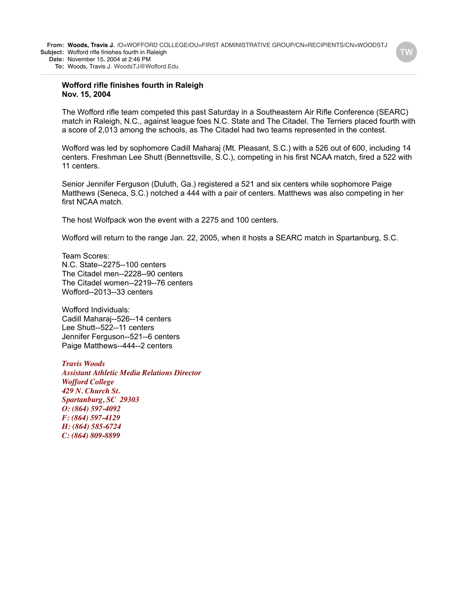#### **Wofford rifle finishes fourth in Raleigh Nov. 15, 2004**

The Wofford rifle team competed this past Saturday in a Southeastern Air Rifle Conference (SEARC) match in Raleigh, N.C., against league foes N.C. State and The Citadel. The Terriers placed fourth with a score of 2,013 among the schools, as The Citadel had two teams represented in the contest.

Wofford was led by sophomore Cadill Maharaj (Mt. Pleasant, S.C.) with a 526 out of 600, including 14 centers. Freshman Lee Shutt (Bennettsville, S.C.), competing in his first NCAA match, fired a 522 with 11 centers.

Senior Jennifer Ferguson (Duluth, Ga.) registered a 521 and six centers while sophomore Paige Matthews (Seneca, S.C.) notched a 444 with a pair of centers. Matthews was also competing in her first NCAA match.

The host Wolfpack won the event with a 2275 and 100 centers.

Wofford will return to the range Jan. 22, 2005, when it hosts a SEARC match in Spartanburg, S.C.

Team Scores: N.C. State--2275--100 centers The Citadel men--2228--90 centers The Citadel women--2219--76 centers Wofford--2013--33 centers

Wofford Individuals: Cadill Maharaj--526--14 centers Lee Shutt--522--11 centers Jennifer Ferguson--521--6 centers Paige Matthews--444--2 centers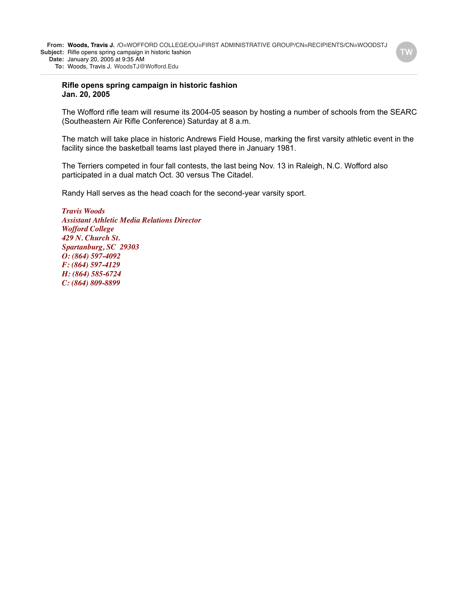#### **Rifle opens spring campaign in historic fashion Jan. 20, 2005**

The Wofford rifle team will resume its 2004-05 season by hosting a number of schools from the SEARC (Southeastern Air Rifle Conference) Saturday at 8 a.m.

The match will take place in historic Andrews Field House, marking the first varsity athletic event in the facility since the basketball teams last played there in January 1981.

The Terriers competed in four fall contests, the last being Nov. 13 in Raleigh, N.C. Wofford also participated in a dual match Oct. 30 versus The Citadel.

Randy Hall serves as the head coach for the second-year varsity sport.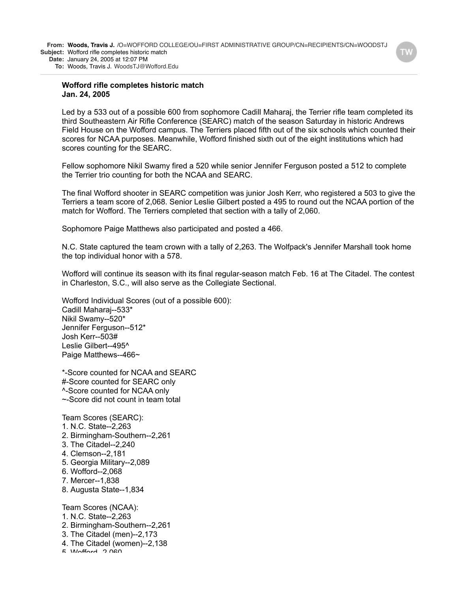#### **Wofford rifle completes historic match Jan. 24, 2005**

Led by a 533 out of a possible 600 from sophomore Cadill Maharaj, the Terrier rifle team completed its third Southeastern Air Rifle Conference (SEARC) match of the season Saturday in historic Andrews Field House on the Wofford campus. The Terriers placed fifth out of the six schools which counted their scores for NCAA purposes. Meanwhile, Wofford finished sixth out of the eight institutions which had scores counting for the SEARC.

Fellow sophomore Nikil Swamy fired a 520 while senior Jennifer Ferguson posted a 512 to complete the Terrier trio counting for both the NCAA and SEARC.

The final Wofford shooter in SEARC competition was junior Josh Kerr, who registered a 503 to give the Terriers a team score of 2,068. Senior Leslie Gilbert posted a 495 to round out the NCAA portion of the match for Wofford. The Terriers completed that section with a tally of 2,060.

Sophomore Paige Matthews also participated and posted a 466.

N.C. State captured the team crown with a tally of 2,263. The Wolfpack's Jennifer Marshall took home the top individual honor with a 578.

Wofford will continue its season with its final regular-season match Feb. 16 at The Citadel. The contest in Charleston, S.C., will also serve as the Collegiate Sectional.

Wofford Individual Scores (out of a possible 600): Cadill Maharaj--533\* Nikil Swamy--520\* Jennifer Ferguson--512\* Josh Kerr--503# Leslie Gilbert--495^ Paige Matthews--466~

\*-Score counted for NCAA and SEARC #-Score counted for SEARC only ^-Score counted for NCAA only ~-Score did not count in team total

Team Scores (SEARC):

- 1. N.C. State--2,263
- 2. Birmingham-Southern--2,261
- 3. The Citadel--2,240
- 4. Clemson--2,181
- 5. Georgia Military--2,089
- 6. Wofford--2,068
- 7. Mercer--1,838
- 8. Augusta State--1,834

Team Scores (NCAA):

- 1. N.C. State--2,263
- 2. Birmingham-Southern--2,261
- 3. The Citadel (men)--2,173
- 4. The Citadel (women)--2,138
- $F$   $M$ nford $\Omega$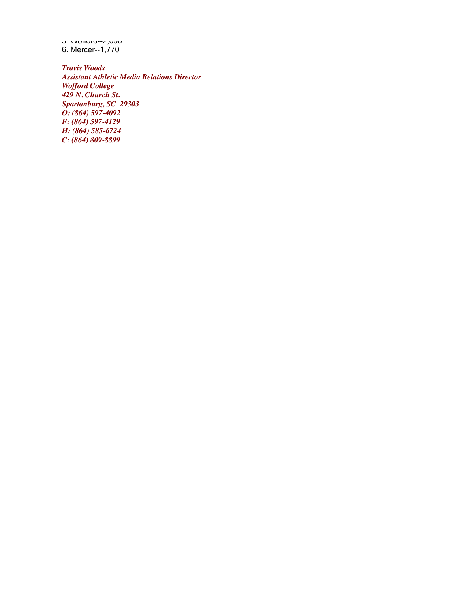5. Wofford--2,060 6. Mercer--1,770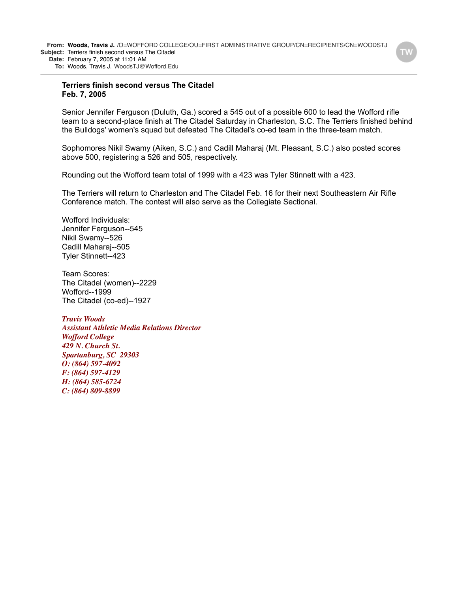#### **Terriers finish second versus The Citadel Feb. 7, 2005**

Senior Jennifer Ferguson (Duluth, Ga.) scored a 545 out of a possible 600 to lead the Wofford rifle team to a second-place finish at The Citadel Saturday in Charleston, S.C. The Terriers finished behind the Bulldogs' women's squad but defeated The Citadel's co-ed team in the three-team match.

Sophomores Nikil Swamy (Aiken, S.C.) and Cadill Maharaj (Mt. Pleasant, S.C.) also posted scores above 500, registering a 526 and 505, respectively.

Rounding out the Wofford team total of 1999 with a 423 was Tyler Stinnett with a 423.

The Terriers will return to Charleston and The Citadel Feb. 16 for their next Southeastern Air Rifle Conference match. The contest will also serve as the Collegiate Sectional.

Wofford Individuals: Jennifer Ferguson--545 Nikil Swamy--526 Cadill Maharaj--505 Tyler Stinnett--423

Team Scores: The Citadel (women)--2229 Wofford--1999 The Citadel (co-ed)--1927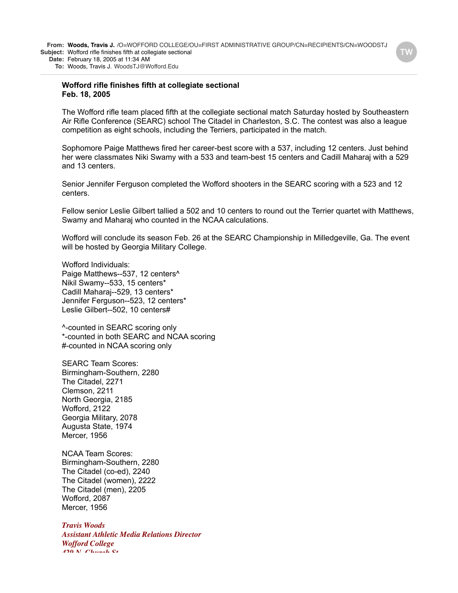**To:** Woods, Travis J. WoodsTJ@Wofford.Edu

### **Wofford rifle finishes fifth at collegiate sectional Feb. 18, 2005**

The Wofford rifle team placed fifth at the collegiate sectional match Saturday hosted by Southeastern Air Rifle Conference (SEARC) school The Citadel in Charleston, S.C. The contest was also a league competition as eight schools, including the Terriers, participated in the match.

Sophomore Paige Matthews fired her career-best score with a 537, including 12 centers. Just behind her were classmates Niki Swamy with a 533 and team-best 15 centers and Cadill Maharaj with a 529 and 13 centers.

Senior Jennifer Ferguson completed the Wofford shooters in the SEARC scoring with a 523 and 12 centers.

Fellow senior Leslie Gilbert tallied a 502 and 10 centers to round out the Terrier quartet with Matthews, Swamy and Maharaj who counted in the NCAA calculations.

Wofford will conclude its season Feb. 26 at the SEARC Championship in Milledgeville, Ga. The event will be hosted by Georgia Military College.

Wofford Individuals: Paige Matthews--537, 12 centers<sup>^</sup> Nikil Swamy--533, 15 centers\* Cadill Maharaj--529, 13 centers\* Jennifer Ferguson--523, 12 centers\* Leslie Gilbert--502, 10 centers#

^-counted in SEARC scoring only \*-counted in both SEARC and NCAA scoring #-counted in NCAA scoring only

SEARC Team Scores: Birmingham-Southern, 2280 The Citadel, 2271 Clemson, 2211 North Georgia, 2185 Wofford, 2122 Georgia Military, 2078 Augusta State, 1974 Mercer, 1956

NCAA Team Scores: Birmingham-Southern, 2280 The Citadel (co-ed), 2240 The Citadel (women), 2222 The Citadel (men), 2205 Wofford, 2087 Mercer, 1956

*Travis Woods Assistant Athletic Media Relations Director Wofford College 429 N. Church St.*